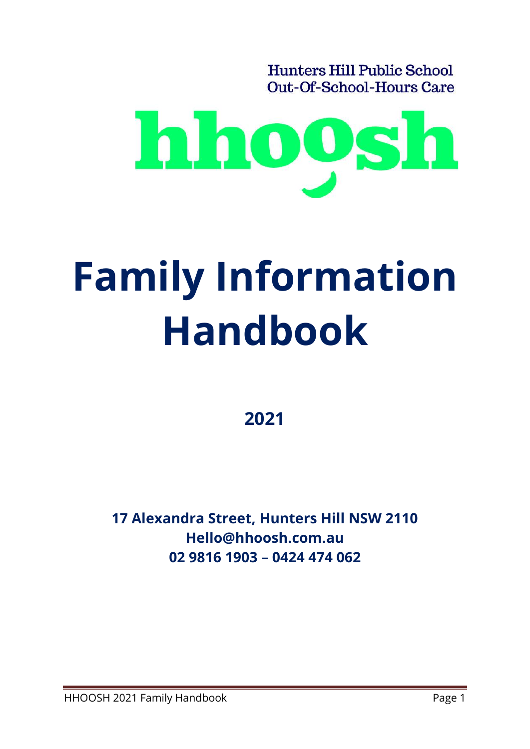**Hunters Hill Public School** Out-Of-School-Hours Care



# **Family Information Handbook**

**2021**

**17 Alexandra Street, Hunters Hill NSW 2110 Hello@hhoosh.com.au 02 9816 1903 – 0424 474 062**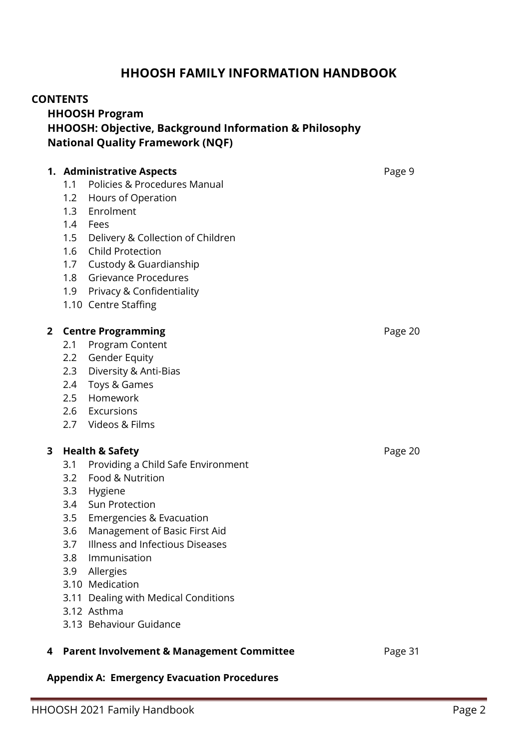#### **HHOOSH FAMILY INFORMATION HANDBOOK**

#### **CONTENTS**

**HHOOSH Program HHOOSH: Objective, Background Information & Philosophy National Quality Framework (NQF)**

#### **1. Administrative Aspects Page 9** 1.1 Policies & Procedures Manual 1.2 Hours of Operation 1.3 Enrolment 1.4 Fees 1.5 Delivery & Collection of Children 1.6 Child Protection 1.7 Custody & Guardianship 1.8 Grievance Procedures 1.9 Privacy & Confidentiality 1.10 Centre Staffing **2 Centre Programming** Page 20 2.1 Program Content 2.2 Gender Equity 2.3 Diversity & Anti-Bias 2.4 Toys & Games 2.5 Homework 2.6 Excursions 2.7 Videos & Films **3 Health & Safety** Page 20 3.1 Providing a Child Safe Environment 3.2 Food & Nutrition 3.3 Hygiene 3.4 Sun Protection 3.5 Emergencies & Evacuation 3.6 Management of Basic First Aid 3.7 Illness and Infectious Diseases 3.8 Immunisation 3.9 Allergies 3.10 Medication 3.11 Dealing with Medical Conditions 3.12 Asthma 3.13 Behaviour Guidance **4 Parent Involvement & Management Committee** Page 31

#### **Appendix A: Emergency Evacuation Procedures**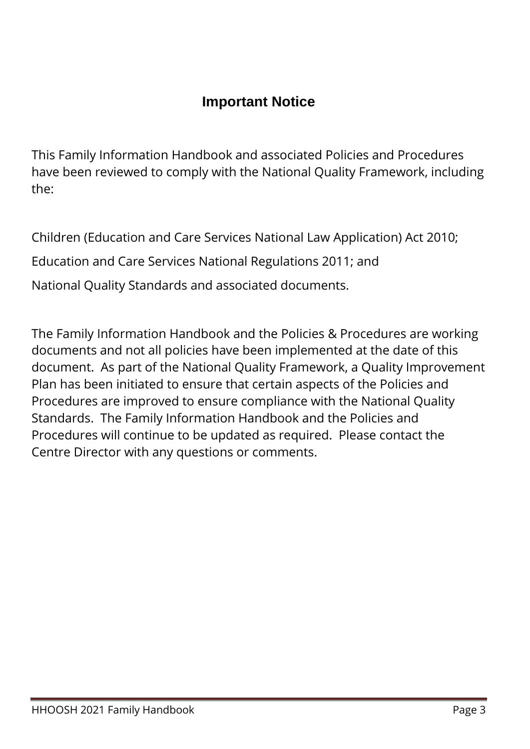# **Important Notice**

This Family Information Handbook and associated Policies and Procedures have been reviewed to comply with the National Quality Framework, including the:

Children (Education and Care Services National Law Application) Act 2010; Education and Care Services National Regulations 2011; and National Quality Standards and associated documents.

The Family Information Handbook and the Policies & Procedures are working documents and not all policies have been implemented at the date of this document. As part of the National Quality Framework, a Quality Improvement Plan has been initiated to ensure that certain aspects of the Policies and Procedures are improved to ensure compliance with the National Quality Standards. The Family Information Handbook and the Policies and Procedures will continue to be updated as required. Please contact the Centre Director with any questions or comments.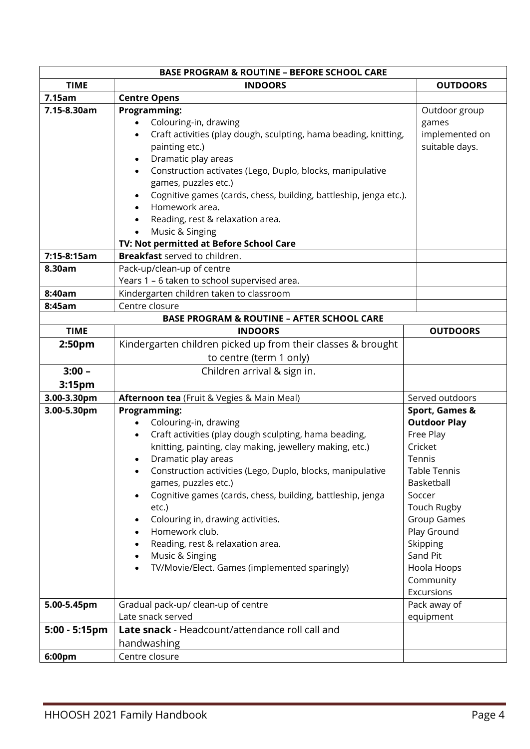| <b>BASE PROGRAM &amp; ROUTINE - BEFORE SCHOOL CARE</b> |                                                                                                                                                                                                                                                                                                                                                                                                                                                                                                               |                                                                                                                                                                                                                                                         |  |  |
|--------------------------------------------------------|---------------------------------------------------------------------------------------------------------------------------------------------------------------------------------------------------------------------------------------------------------------------------------------------------------------------------------------------------------------------------------------------------------------------------------------------------------------------------------------------------------------|---------------------------------------------------------------------------------------------------------------------------------------------------------------------------------------------------------------------------------------------------------|--|--|
| <b>TIME</b>                                            | <b>INDOORS</b>                                                                                                                                                                                                                                                                                                                                                                                                                                                                                                | <b>OUTDOORS</b>                                                                                                                                                                                                                                         |  |  |
| 7.15am                                                 | <b>Centre Opens</b>                                                                                                                                                                                                                                                                                                                                                                                                                                                                                           |                                                                                                                                                                                                                                                         |  |  |
| 7.15-8.30am                                            | <b>Programming:</b><br>Colouring-in, drawing<br>Craft activities (play dough, sculpting, hama beading, knitting,<br>painting etc.)<br>Dramatic play areas<br>Construction activates (Lego, Duplo, blocks, manipulative<br>games, puzzles etc.)<br>Cognitive games (cards, chess, building, battleship, jenga etc.).<br>Homework area.<br>Reading, rest & relaxation area.<br>Music & Singing<br>TV: Not permitted at Before School Care                                                                       | Outdoor group<br>games<br>implemented on<br>suitable days.                                                                                                                                                                                              |  |  |
| 7:15-8:15am                                            | <b>Breakfast</b> served to children.                                                                                                                                                                                                                                                                                                                                                                                                                                                                          |                                                                                                                                                                                                                                                         |  |  |
| 8.30am                                                 | Pack-up/clean-up of centre                                                                                                                                                                                                                                                                                                                                                                                                                                                                                    |                                                                                                                                                                                                                                                         |  |  |
|                                                        | Years 1 - 6 taken to school supervised area.                                                                                                                                                                                                                                                                                                                                                                                                                                                                  |                                                                                                                                                                                                                                                         |  |  |
| 8:40am                                                 | Kindergarten children taken to classroom                                                                                                                                                                                                                                                                                                                                                                                                                                                                      |                                                                                                                                                                                                                                                         |  |  |
| 8:45am                                                 | Centre closure                                                                                                                                                                                                                                                                                                                                                                                                                                                                                                |                                                                                                                                                                                                                                                         |  |  |
|                                                        | <b>BASE PROGRAM &amp; ROUTINE - AFTER SCHOOL CARE</b>                                                                                                                                                                                                                                                                                                                                                                                                                                                         |                                                                                                                                                                                                                                                         |  |  |
| <b>TIME</b>                                            | <b>INDOORS</b>                                                                                                                                                                                                                                                                                                                                                                                                                                                                                                | <b>OUTDOORS</b>                                                                                                                                                                                                                                         |  |  |
| 2:50pm                                                 | Kindergarten children picked up from their classes & brought                                                                                                                                                                                                                                                                                                                                                                                                                                                  |                                                                                                                                                                                                                                                         |  |  |
|                                                        | to centre (term 1 only)                                                                                                                                                                                                                                                                                                                                                                                                                                                                                       |                                                                                                                                                                                                                                                         |  |  |
| $3:00 -$                                               | Children arrival & sign in.                                                                                                                                                                                                                                                                                                                                                                                                                                                                                   |                                                                                                                                                                                                                                                         |  |  |
| 3:15pm                                                 |                                                                                                                                                                                                                                                                                                                                                                                                                                                                                                               |                                                                                                                                                                                                                                                         |  |  |
| 3.00-3.30pm                                            | Afternoon tea (Fruit & Vegies & Main Meal)                                                                                                                                                                                                                                                                                                                                                                                                                                                                    | Served outdoors                                                                                                                                                                                                                                         |  |  |
| 3.00-5.30pm                                            | Programming:<br>Colouring-in, drawing<br>Craft activities (play dough sculpting, hama beading,<br>knitting, painting, clay making, jewellery making, etc.)<br>Dramatic play areas<br>Construction activities (Lego, Duplo, blocks, manipulative<br>games, puzzles etc.)<br>Cognitive games (cards, chess, building, battleship, jenga<br>etc.)<br>Colouring in, drawing activities.<br>Homework club.<br>Reading, rest & relaxation area.<br>Music & Singing<br>TV/Movie/Elect. Games (implemented sparingly) | <b>Sport, Games &amp;</b><br><b>Outdoor Play</b><br>Free Play<br>Cricket<br>Tennis<br>Table Tennis<br>Basketball<br>Soccer<br><b>Touch Rugby</b><br><b>Group Games</b><br>Play Ground<br>Skipping<br>Sand Pit<br>Hoola Hoops<br>Community<br>Excursions |  |  |
| 5.00-5.45pm                                            | Gradual pack-up/ clean-up of centre<br>Late snack served                                                                                                                                                                                                                                                                                                                                                                                                                                                      | Pack away of<br>equipment                                                                                                                                                                                                                               |  |  |
| 5:00 - 5:15pm                                          | Late snack - Headcount/attendance roll call and                                                                                                                                                                                                                                                                                                                                                                                                                                                               |                                                                                                                                                                                                                                                         |  |  |
|                                                        | handwashing                                                                                                                                                                                                                                                                                                                                                                                                                                                                                                   |                                                                                                                                                                                                                                                         |  |  |
| 6:00pm                                                 | Centre closure                                                                                                                                                                                                                                                                                                                                                                                                                                                                                                |                                                                                                                                                                                                                                                         |  |  |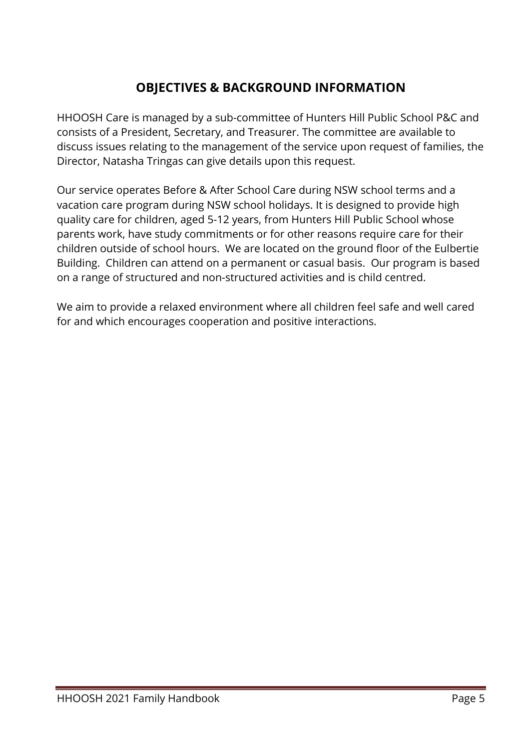### **OBJECTIVES & BACKGROUND INFORMATION**

HHOOSH Care is managed by a sub-committee of Hunters Hill Public School P&C and consists of a President, Secretary, and Treasurer. The committee are available to discuss issues relating to the management of the service upon request of families, the Director, Natasha Tringas can give details upon this request.

Our service operates Before & After School Care during NSW school terms and a vacation care program during NSW school holidays. It is designed to provide high quality care for children, aged 5-12 years, from Hunters Hill Public School whose parents work, have study commitments or for other reasons require care for their children outside of school hours. We are located on the ground floor of the Eulbertie Building. Children can attend on a permanent or casual basis. Our program is based on a range of structured and non-structured activities and is child centred.

We aim to provide a relaxed environment where all children feel safe and well cared for and which encourages cooperation and positive interactions.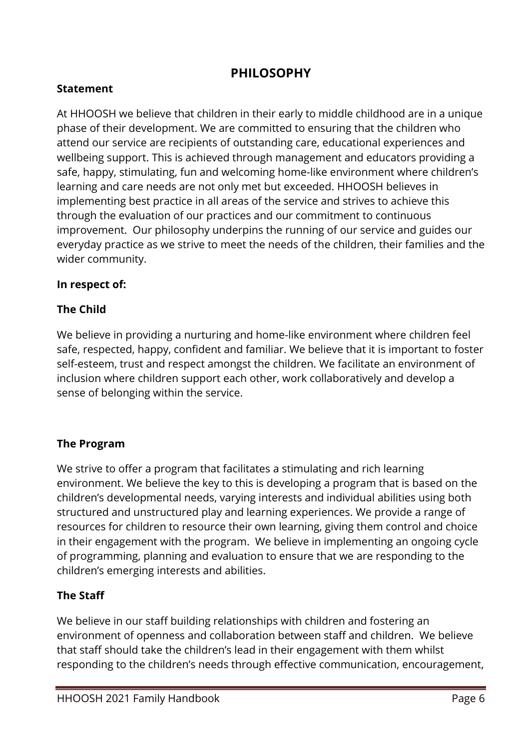#### **PHILOSOPHY**

#### **Statement**

At HHOOSH we believe that children in their early to middle childhood are in a unique phase of their development. We are committed to ensuring that the children who attend our service are recipients of outstanding care, educational experiences and wellbeing support. This is achieved through management and educators providing a safe, happy, stimulating, fun and welcoming home-like environment where children's learning and care needs are not only met but exceeded. HHOOSH believes in implementing best practice in all areas of the service and strives to achieve this through the evaluation of our practices and our commitment to continuous improvement. Our philosophy underpins the running of our service and guides our everyday practice as we strive to meet the needs of the children, their families and the wider community.

#### **In respect of:**

#### **The Child**

We believe in providing a nurturing and home-like environment where children feel safe, respected, happy, confident and familiar. We believe that it is important to foster self-esteem, trust and respect amongst the children. We facilitate an environment of inclusion where children support each other, work collaboratively and develop a sense of belonging within the service.

#### **The Program**

We strive to offer a program that facilitates a stimulating and rich learning environment. We believe the key to this is developing a program that is based on the children's developmental needs, varying interests and individual abilities using both structured and unstructured play and learning experiences. We provide a range of resources for children to resource their own learning, giving them control and choice in their engagement with the program. We believe in implementing an ongoing cycle of programming, planning and evaluation to ensure that we are responding to the children's emerging interests and abilities.

#### **The Staff**

We believe in our staff building relationships with children and fostering an environment of openness and collaboration between staff and children. We believe that staff should take the children's lead in their engagement with them whilst responding to the children's needs through effective communication, encouragement,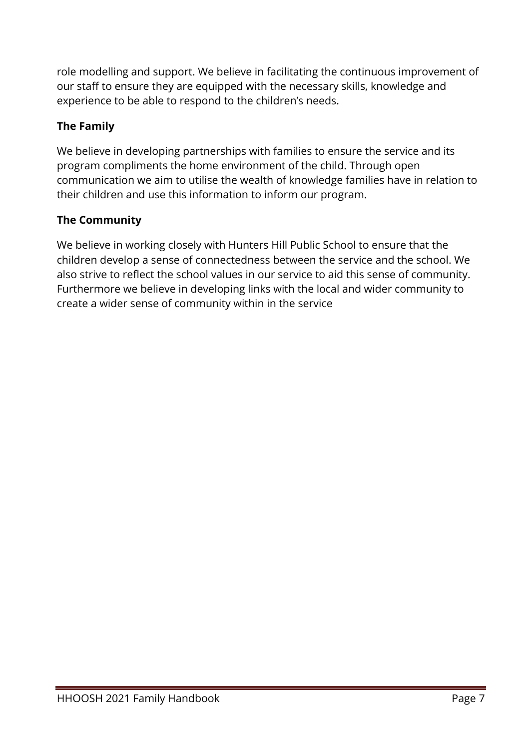role modelling and support. We believe in facilitating the continuous improvement of our staff to ensure they are equipped with the necessary skills, knowledge and experience to be able to respond to the children's needs.

#### **The Family**

We believe in developing partnerships with families to ensure the service and its program compliments the home environment of the child. Through open communication we aim to utilise the wealth of knowledge families have in relation to their children and use this information to inform our program.

#### **The Community**

We believe in working closely with Hunters Hill Public School to ensure that the children develop a sense of connectedness between the service and the school. We also strive to reflect the school values in our service to aid this sense of community. Furthermore we believe in developing links with the local and wider community to create a wider sense of community within in the service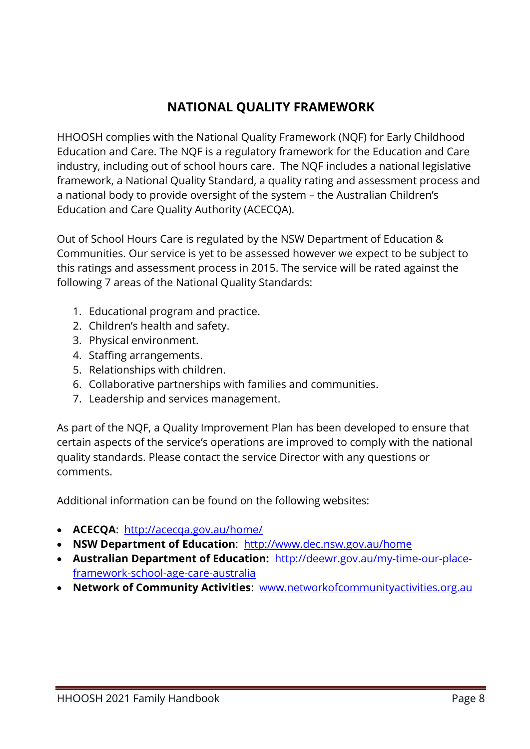## **NATIONAL QUALITY FRAMEWORK**

HHOOSH complies with the National Quality Framework (NQF) for Early Childhood Education and Care. The NQF is a regulatory framework for the Education and Care industry, including out of school hours care. The NQF includes a national legislative framework, a National Quality Standard, a quality rating and assessment process and a national body to provide oversight of the system – the Australian Children's Education and Care Quality Authority (ACECQA).

Out of School Hours Care is regulated by the NSW Department of Education & Communities. Our service is yet to be assessed however we expect to be subject to this ratings and assessment process in 2015. The service will be rated against the following 7 areas of the National Quality Standards:

- 1. Educational program and practice.
- 2. Children's health and safety.
- 3. Physical environment.
- 4. Staffing arrangements.
- 5. Relationships with children.
- 6. Collaborative partnerships with families and communities.
- 7. Leadership and services management.

As part of the NQF, a Quality Improvement Plan has been developed to ensure that certain aspects of the service's operations are improved to comply with the national quality standards. Please contact the service Director with any questions or comments.

Additional information can be found on the following websites:

- **ACECQA**: <http://acecqa.gov.au/home/>
- **NSW Department of Education**: <http://www.dec.nsw.gov.au/home>
- **Australian Department of Education:** [http://deewr.gov.au/my-time-our-place](http://deewr.gov.au/my-time-our-place-framework-school-age-care-australia)[framework-school-age-care-australia](http://deewr.gov.au/my-time-our-place-framework-school-age-care-australia)
- **Network of Community Activities**: [www.networkofcommunityactivities.org.au](http://www.networkofcommunityactivities.org.au/)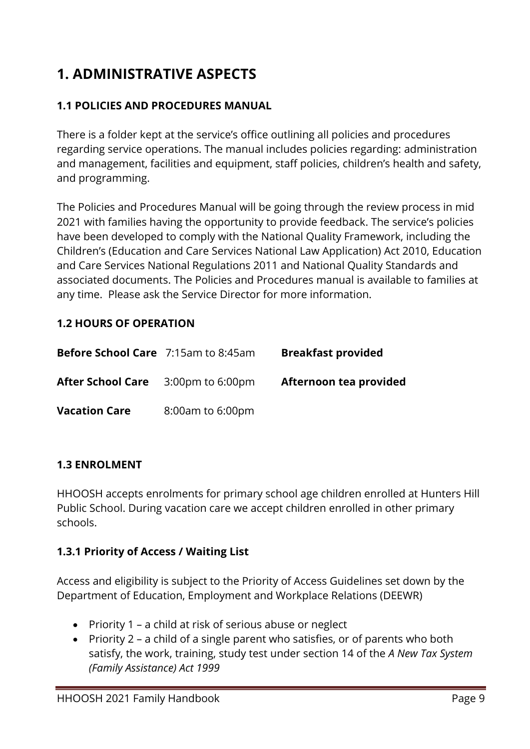# **1. ADMINISTRATIVE ASPECTS**

#### **1.1 POLICIES AND PROCEDURES MANUAL**

There is a folder kept at the service's office outlining all policies and procedures regarding service operations. The manual includes policies regarding: administration and management, facilities and equipment, staff policies, children's health and safety, and programming.

The Policies and Procedures Manual will be going through the review process in mid 2021 with families having the opportunity to provide feedback. The service's policies have been developed to comply with the National Quality Framework, including the Children's (Education and Care Services National Law Application) Act 2010, Education and Care Services National Regulations 2011 and National Quality Standards and associated documents. The Policies and Procedures manual is available to families at any time. Please ask the Service Director for more information.

#### **1.2 HOURS OF OPERATION**

| <b>Before School Care</b> 7:15am to 8:45am |                            | <b>Breakfast provided</b> |
|--------------------------------------------|----------------------------|---------------------------|
| <b>After School Care</b>                   | $3:00 \text{pm}$ to 6:00pm | Afternoon tea provided    |
| <b>Vacation Care</b>                       | 8:00am to 6:00pm           |                           |

#### **1.3 ENROLMENT**

HHOOSH accepts enrolments for primary school age children enrolled at Hunters Hill Public School. During vacation care we accept children enrolled in other primary schools.

#### **1.3.1 Priority of Access / Waiting List**

Access and eligibility is subject to the Priority of Access Guidelines set down by the Department of Education, Employment and Workplace Relations (DEEWR)

- Priority 1 a child at risk of serious abuse or neglect
- Priority 2 a child of a single parent who satisfies, or of parents who both satisfy, the work, training, study test under section 14 of the *A New Tax System (Family Assistance) Act 1999*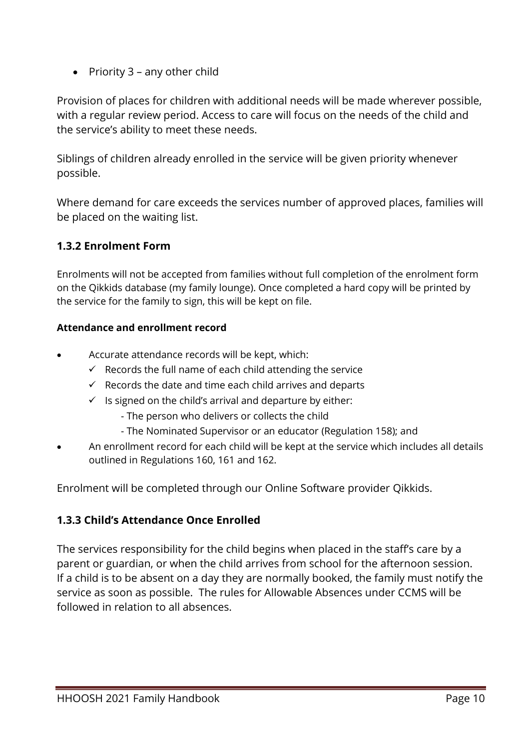• Priority 3 – any other child

Provision of places for children with additional needs will be made wherever possible, with a regular review period. Access to care will focus on the needs of the child and the service's ability to meet these needs.

Siblings of children already enrolled in the service will be given priority whenever possible.

Where demand for care exceeds the services number of approved places, families will be placed on the waiting list.

#### **1.3.2 Enrolment Form**

Enrolments will not be accepted from families without full completion of the enrolment form on the Qikkids database (my family lounge). Once completed a hard copy will be printed by the service for the family to sign, this will be kept on file.

#### **Attendance and enrollment record**

- Accurate attendance records will be kept, which:
	- $\checkmark$  Records the full name of each child attending the service
	- $\checkmark$  Records the date and time each child arrives and departs
	- $\checkmark$  Is signed on the child's arrival and departure by either:
		- The person who delivers or collects the child
		- The Nominated Supervisor or an educator (Regulation 158); and
- An enrollment record for each child will be kept at the service which includes all details outlined in Regulations 160, 161 and 162.

Enrolment will be completed through our Online Software provider Qikkids.

#### **1.3.3 Child's Attendance Once Enrolled**

The services responsibility for the child begins when placed in the staff's care by a parent or guardian, or when the child arrives from school for the afternoon session. If a child is to be absent on a day they are normally booked, the family must notify the service as soon as possible. The rules for Allowable Absences under CCMS will be followed in relation to all absences.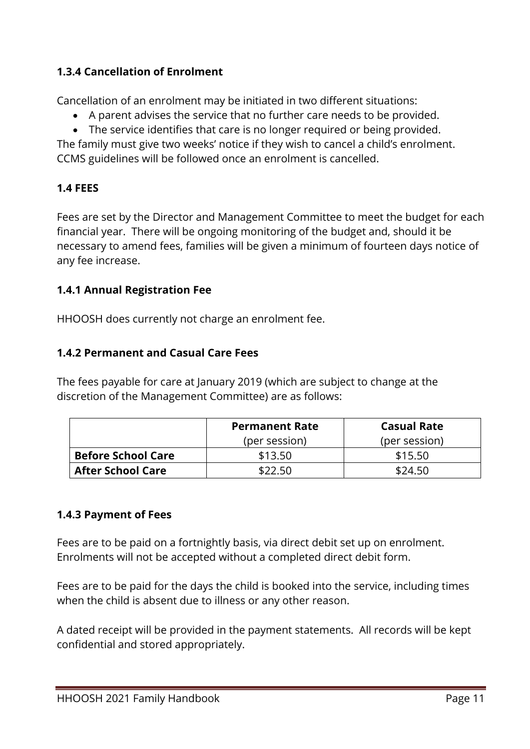#### **1.3.4 Cancellation of Enrolment**

Cancellation of an enrolment may be initiated in two different situations:

- A parent advises the service that no further care needs to be provided.
- The service identifies that care is no longer required or being provided.

The family must give two weeks' notice if they wish to cancel a child's enrolment. CCMS guidelines will be followed once an enrolment is cancelled.

#### **1.4 FEES**

Fees are set by the Director and Management Committee to meet the budget for each financial year. There will be ongoing monitoring of the budget and, should it be necessary to amend fees, families will be given a minimum of fourteen days notice of any fee increase.

#### **1.4.1 Annual Registration Fee**

HHOOSH does currently not charge an enrolment fee.

#### **1.4.2 Permanent and Casual Care Fees**

The fees payable for care at January 2019 (which are subject to change at the discretion of the Management Committee) are as follows:

|                           | <b>Permanent Rate</b> | <b>Casual Rate</b> |
|---------------------------|-----------------------|--------------------|
|                           | (per session)         | (per session)      |
| <b>Before School Care</b> | \$13.50               | \$15.50            |
| <b>After School Care</b>  | \$22.50               | \$24.50            |

#### **1.4.3 Payment of Fees**

Fees are to be paid on a fortnightly basis, via direct debit set up on enrolment. Enrolments will not be accepted without a completed direct debit form.

Fees are to be paid for the days the child is booked into the service, including times when the child is absent due to illness or any other reason.

A dated receipt will be provided in the payment statements. All records will be kept confidential and stored appropriately.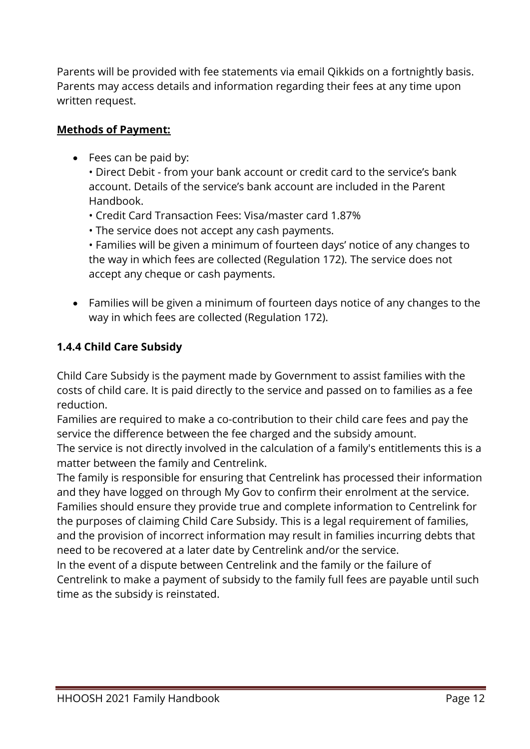Parents will be provided with fee statements via email Qikkids on a fortnightly basis. Parents may access details and information regarding their fees at any time upon written request.

#### **Methods of Payment:**

• Fees can be paid by:

• Direct Debit - from your bank account or credit card to the service's bank account. Details of the service's bank account are included in the Parent Handbook.

- Credit Card Transaction Fees: Visa/master card 1.87%
- The service does not accept any cash payments.

• Families will be given a minimum of fourteen days' notice of any changes to the way in which fees are collected (Regulation 172). The service does not accept any cheque or cash payments.

• Families will be given a minimum of fourteen days notice of any changes to the way in which fees are collected (Regulation 172).

#### **1.4.4 Child Care Subsidy**

Child Care Subsidy is the payment made by Government to assist families with the costs of child care. It is paid directly to the service and passed on to families as a fee reduction.

Families are required to make a co-contribution to their child care fees and pay the service the difference between the fee charged and the subsidy amount.

The service is not directly involved in the calculation of a family's entitlements this is a matter between the family and Centrelink.

The family is responsible for ensuring that Centrelink has processed their information and they have logged on through My Gov to confirm their enrolment at the service. Families should ensure they provide true and complete information to Centrelink for the purposes of claiming Child Care Subsidy. This is a legal requirement of families, and the provision of incorrect information may result in families incurring debts that need to be recovered at a later date by Centrelink and/or the service.

In the event of a dispute between Centrelink and the family or the failure of Centrelink to make a payment of subsidy to the family full fees are payable until such time as the subsidy is reinstated.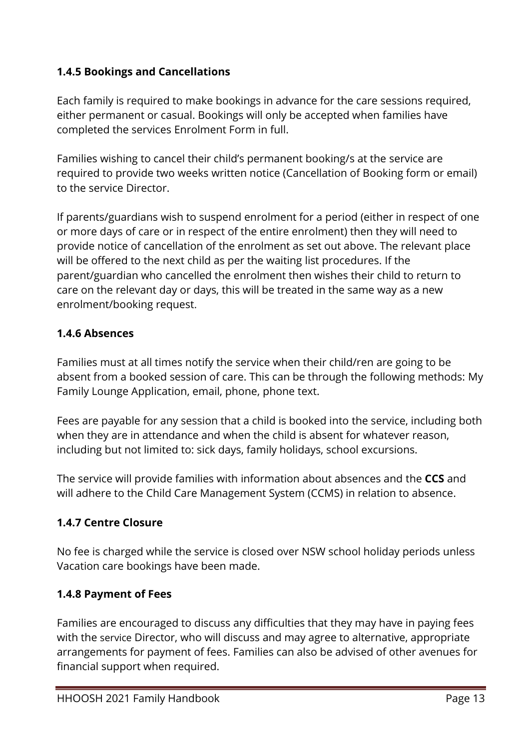#### **1.4.5 Bookings and Cancellations**

Each family is required to make bookings in advance for the care sessions required, either permanent or casual. Bookings will only be accepted when families have completed the services Enrolment Form in full.

Families wishing to cancel their child's permanent booking/s at the service are required to provide two weeks written notice (Cancellation of Booking form or email) to the service Director.

If parents/guardians wish to suspend enrolment for a period (either in respect of one or more days of care or in respect of the entire enrolment) then they will need to provide notice of cancellation of the enrolment as set out above. The relevant place will be offered to the next child as per the waiting list procedures. If the parent/guardian who cancelled the enrolment then wishes their child to return to care on the relevant day or days, this will be treated in the same way as a new enrolment/booking request.

#### **1.4.6 Absences**

Families must at all times notify the service when their child/ren are going to be absent from a booked session of care. This can be through the following methods: My Family Lounge Application, email, phone, phone text.

Fees are payable for any session that a child is booked into the service, including both when they are in attendance and when the child is absent for whatever reason, including but not limited to: sick days, family holidays, school excursions.

The service will provide families with information about absences and the **CCS** and will adhere to the Child Care Management System (CCMS) in relation to absence.

#### **1.4.7 Centre Closure**

No fee is charged while the service is closed over NSW school holiday periods unless Vacation care bookings have been made.

#### **1.4.8 Payment of Fees**

Families are encouraged to discuss any difficulties that they may have in paying fees with the service Director, who will discuss and may agree to alternative, appropriate arrangements for payment of fees. Families can also be advised of other avenues for financial support when required.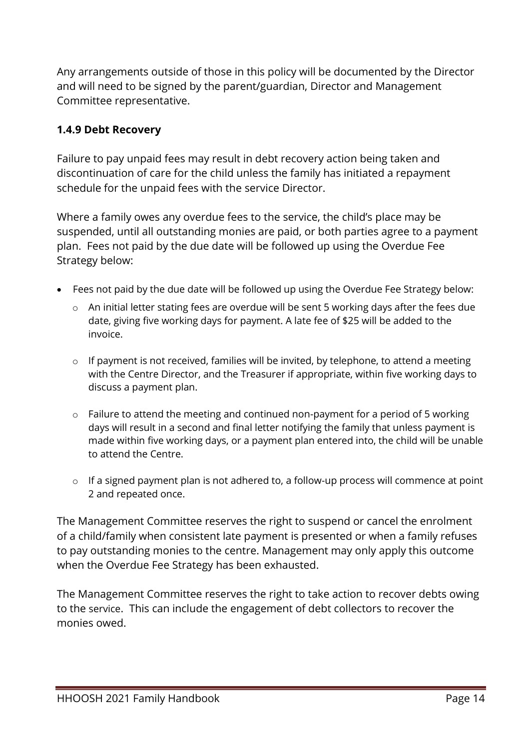Any arrangements outside of those in this policy will be documented by the Director and will need to be signed by the parent/guardian, Director and Management Committee representative.

#### **1.4.9 Debt Recovery**

Failure to pay unpaid fees may result in debt recovery action being taken and discontinuation of care for the child unless the family has initiated a repayment schedule for the unpaid fees with the service Director.

Where a family owes any overdue fees to the service, the child's place may be suspended, until all outstanding monies are paid, or both parties agree to a payment plan. Fees not paid by the due date will be followed up using the Overdue Fee Strategy below:

- Fees not paid by the due date will be followed up using the Overdue Fee Strategy below:
	- o An initial letter stating fees are overdue will be sent 5 working days after the fees due date, giving five working days for payment. A late fee of \$25 will be added to the invoice.
	- o If payment is not received, families will be invited, by telephone, to attend a meeting with the Centre Director, and the Treasurer if appropriate, within five working days to discuss a payment plan.
	- o Failure to attend the meeting and continued non-payment for a period of 5 working days will result in a second and final letter notifying the family that unless payment is made within five working days, or a payment plan entered into, the child will be unable to attend the Centre.
	- o If a signed payment plan is not adhered to, a follow-up process will commence at point 2 and repeated once.

The Management Committee reserves the right to suspend or cancel the enrolment of a child/family when consistent late payment is presented or when a family refuses to pay outstanding monies to the centre. Management may only apply this outcome when the Overdue Fee Strategy has been exhausted.

The Management Committee reserves the right to take action to recover debts owing to the service. This can include the engagement of debt collectors to recover the monies owed.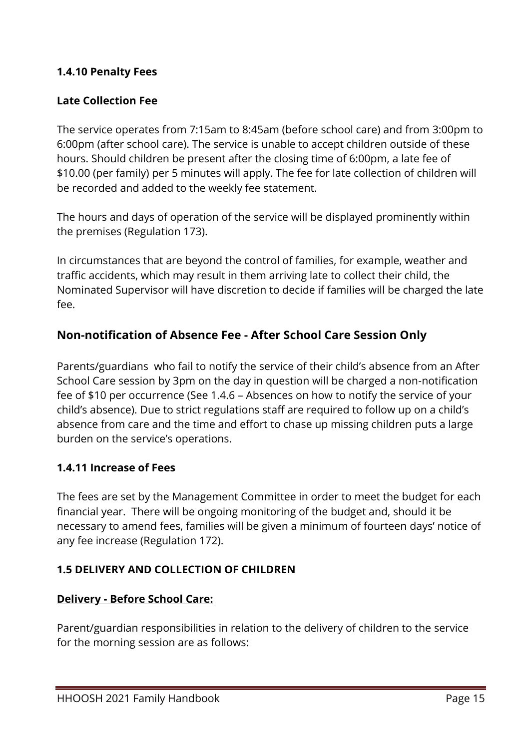#### **1.4.10 Penalty Fees**

#### **Late Collection Fee**

The service operates from 7:15am to 8:45am (before school care) and from 3:00pm to 6:00pm (after school care). The service is unable to accept children outside of these hours. Should children be present after the closing time of 6:00pm, a late fee of \$10.00 (per family) per 5 minutes will apply. The fee for late collection of children will be recorded and added to the weekly fee statement.

The hours and days of operation of the service will be displayed prominently within the premises (Regulation 173).

In circumstances that are beyond the control of families, for example, weather and traffic accidents, which may result in them arriving late to collect their child, the Nominated Supervisor will have discretion to decide if families will be charged the late fee.

#### **Non-notification of Absence Fee - After School Care Session Only**

Parents/guardians who fail to notify the service of their child's absence from an After School Care session by 3pm on the day in question will be charged a non-notification fee of \$10 per occurrence (See 1.4.6 – Absences on how to notify the service of your child's absence). Due to strict regulations staff are required to follow up on a child's absence from care and the time and effort to chase up missing children puts a large burden on the service's operations.

#### **1.4.11 Increase of Fees**

The fees are set by the Management Committee in order to meet the budget for each financial year. There will be ongoing monitoring of the budget and, should it be necessary to amend fees, families will be given a minimum of fourteen days' notice of any fee increase (Regulation 172).

#### **1.5 DELIVERY AND COLLECTION OF CHILDREN**

#### **Delivery - Before School Care:**

Parent/guardian responsibilities in relation to the delivery of children to the service for the morning session are as follows: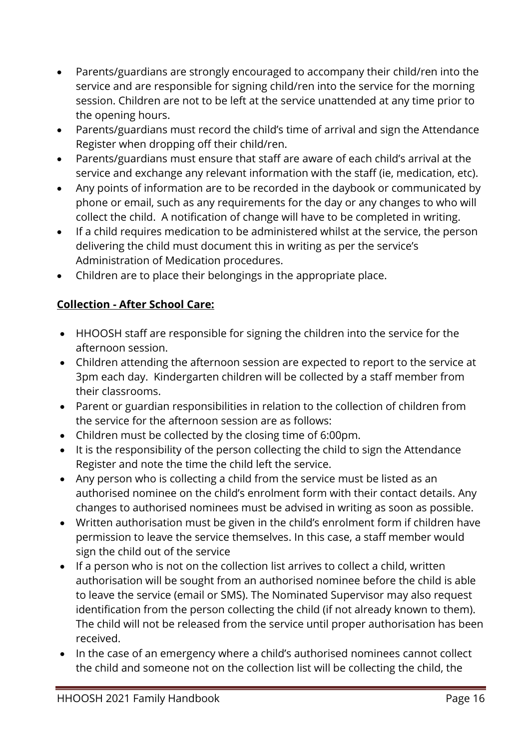- Parents/guardians are strongly encouraged to accompany their child/ren into the service and are responsible for signing child/ren into the service for the morning session. Children are not to be left at the service unattended at any time prior to the opening hours.
- Parents/guardians must record the child's time of arrival and sign the Attendance Register when dropping off their child/ren.
- Parents/guardians must ensure that staff are aware of each child's arrival at the service and exchange any relevant information with the staff (ie, medication, etc).
- Any points of information are to be recorded in the daybook or communicated by phone or email, such as any requirements for the day or any changes to who will collect the child. A notification of change will have to be completed in writing.
- If a child requires medication to be administered whilst at the service, the person delivering the child must document this in writing as per the service's Administration of Medication procedures.
- Children are to place their belongings in the appropriate place.

#### **Collection - After School Care:**

- HHOOSH staff are responsible for signing the children into the service for the afternoon session.
- Children attending the afternoon session are expected to report to the service at 3pm each day. Kindergarten children will be collected by a staff member from their classrooms.
- Parent or guardian responsibilities in relation to the collection of children from the service for the afternoon session are as follows:
- Children must be collected by the closing time of 6:00pm.
- It is the responsibility of the person collecting the child to sign the Attendance Register and note the time the child left the service.
- Any person who is collecting a child from the service must be listed as an authorised nominee on the child's enrolment form with their contact details. Any changes to authorised nominees must be advised in writing as soon as possible.
- Written authorisation must be given in the child's enrolment form if children have permission to leave the service themselves. In this case, a staff member would sign the child out of the service
- If a person who is not on the collection list arrives to collect a child, written authorisation will be sought from an authorised nominee before the child is able to leave the service (email or SMS). The Nominated Supervisor may also request identification from the person collecting the child (if not already known to them). The child will not be released from the service until proper authorisation has been received.
- In the case of an emergency where a child's authorised nominees cannot collect the child and someone not on the collection list will be collecting the child, the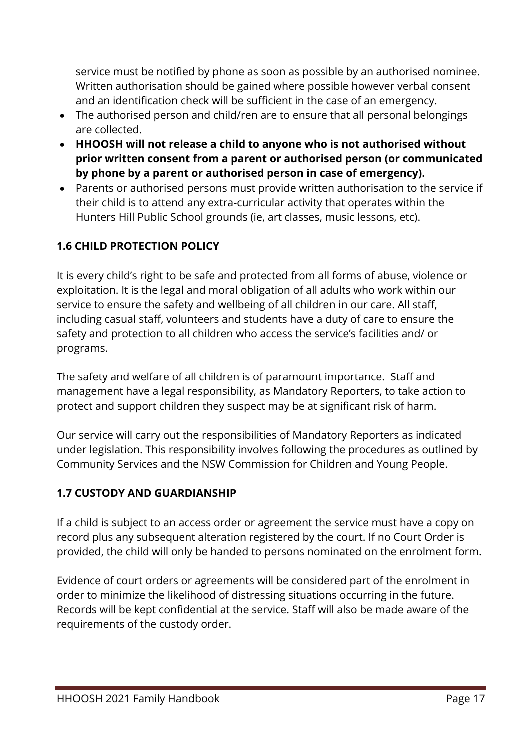service must be notified by phone as soon as possible by an authorised nominee. Written authorisation should be gained where possible however verbal consent and an identification check will be sufficient in the case of an emergency.

- The authorised person and child/ren are to ensure that all personal belongings are collected.
- **HHOOSH will not release a child to anyone who is not authorised without prior written consent from a parent or authorised person (or communicated by phone by a parent or authorised person in case of emergency).**
- Parents or authorised persons must provide written authorisation to the service if their child is to attend any extra-curricular activity that operates within the Hunters Hill Public School grounds (ie, art classes, music lessons, etc).

#### **1.6 CHILD PROTECTION POLICY**

It is every child's right to be safe and protected from all forms of abuse, violence or exploitation. It is the legal and moral obligation of all adults who work within our service to ensure the safety and wellbeing of all children in our care. All staff, including casual staff, volunteers and students have a duty of care to ensure the safety and protection to all children who access the service's facilities and/ or programs.

The safety and welfare of all children is of paramount importance. Staff and management have a legal responsibility, as Mandatory Reporters, to take action to protect and support children they suspect may be at significant risk of harm.

Our service will carry out the responsibilities of Mandatory Reporters as indicated under legislation. This responsibility involves following the procedures as outlined by Community Services and the NSW Commission for Children and Young People.

#### **1.7 CUSTODY AND GUARDIANSHIP**

If a child is subject to an access order or agreement the service must have a copy on record plus any subsequent alteration registered by the court. If no Court Order is provided, the child will only be handed to persons nominated on the enrolment form.

Evidence of court orders or agreements will be considered part of the enrolment in order to minimize the likelihood of distressing situations occurring in the future. Records will be kept confidential at the service. Staff will also be made aware of the requirements of the custody order.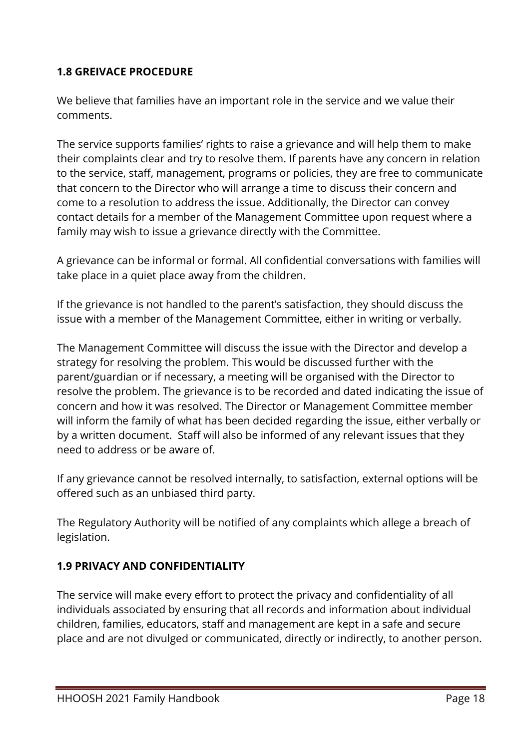#### **1.8 GREIVACE PROCEDURE**

We believe that families have an important role in the service and we value their comments.

The service supports families' rights to raise a grievance and will help them to make their complaints clear and try to resolve them. If parents have any concern in relation to the service, staff, management, programs or policies, they are free to communicate that concern to the Director who will arrange a time to discuss their concern and come to a resolution to address the issue. Additionally, the Director can convey contact details for a member of the Management Committee upon request where a family may wish to issue a grievance directly with the Committee.

A grievance can be informal or formal. All confidential conversations with families will take place in a quiet place away from the children.

If the grievance is not handled to the parent's satisfaction, they should discuss the issue with a member of the Management Committee, either in writing or verbally.

The Management Committee will discuss the issue with the Director and develop a strategy for resolving the problem. This would be discussed further with the parent/guardian or if necessary, a meeting will be organised with the Director to resolve the problem. The grievance is to be recorded and dated indicating the issue of concern and how it was resolved. The Director or Management Committee member will inform the family of what has been decided regarding the issue, either verbally or by a written document. Staff will also be informed of any relevant issues that they need to address or be aware of.

If any grievance cannot be resolved internally, to satisfaction, external options will be offered such as an unbiased third party.

The Regulatory Authority will be notified of any complaints which allege a breach of legislation.

#### **1.9 PRIVACY AND CONFIDENTIALITY**

The service will make every effort to protect the privacy and confidentiality of all individuals associated by ensuring that all records and information about individual children, families, educators, staff and management are kept in a safe and secure place and are not divulged or communicated, directly or indirectly, to another person.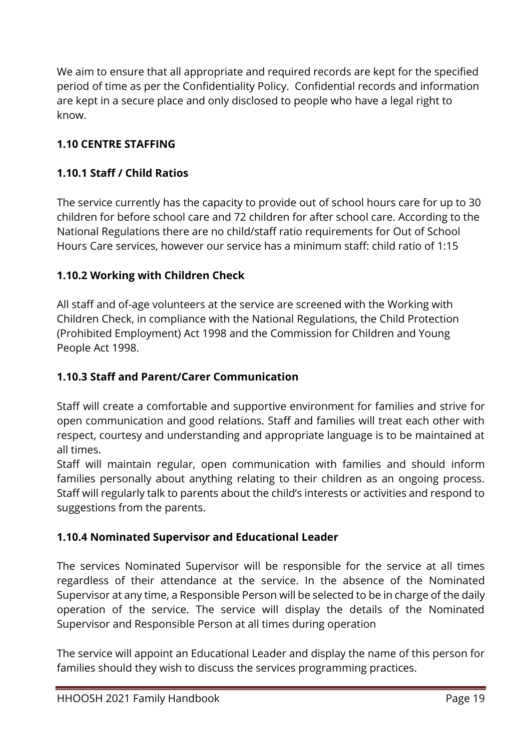We aim to ensure that all appropriate and required records are kept for the specified period of time as per the Confidentiality Policy. Confidential records and information are kept in a secure place and only disclosed to people who have a legal right to know.

#### **1.10 CENTRE STAFFING**

#### **1.10.1 Staff / Child Ratios**

The service currently has the capacity to provide out of school hours care for up to 30 children for before school care and 72 children for after school care. According to the National Regulations there are no child/staff ratio requirements for Out of School Hours Care services, however our service has a minimum staff: child ratio of 1:15

#### **1.10.2 Working with Children Check**

All staff and of-age volunteers at the service are screened with the Working with Children Check, in compliance with the National Regulations, the Child Protection (Prohibited Employment) Act 1998 and the Commission for Children and Young People Act 1998.

#### **1.10.3 Staff and Parent/Carer Communication**

Staff will create a comfortable and supportive environment for families and strive for open communication and good relations. Staff and families will treat each other with respect, courtesy and understanding and appropriate language is to be maintained at all times.

Staff will maintain regular, open communication with families and should inform families personally about anything relating to their children as an ongoing process. Staff will regularly talk to parents about the child's interests or activities and respond to suggestions from the parents.

#### **1.10.4 Nominated Supervisor and Educational Leader**

The services Nominated Supervisor will be responsible for the service at all times regardless of their attendance at the service. In the absence of the Nominated Supervisor at any time, a Responsible Person will be selected to be in charge of the daily operation of the service. The service will display the details of the Nominated Supervisor and Responsible Person at all times during operation

The service will appoint an Educational Leader and display the name of this person for families should they wish to discuss the services programming practices.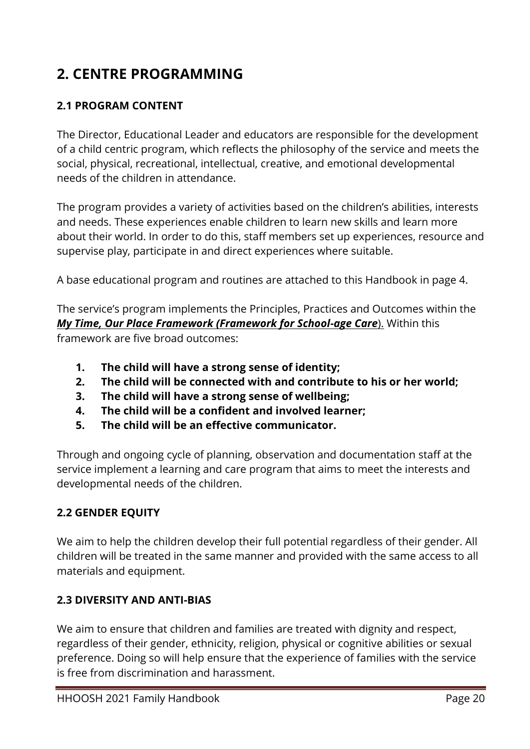# **2. CENTRE PROGRAMMING**

#### **2.1 PROGRAM CONTENT**

The Director, Educational Leader and educators are responsible for the development of a child centric program, which reflects the philosophy of the service and meets the social, physical, recreational, intellectual, creative, and emotional developmental needs of the children in attendance.

The program provides a variety of activities based on the children's abilities, interests and needs. These experiences enable children to learn new skills and learn more about their world. In order to do this, staff members set up experiences, resource and supervise play, participate in and direct experiences where suitable.

A base educational program and routines are attached to this Handbook in page 4.

The service's program implements the Principles, Practices and Outcomes within the *My Time, Our Place Framework (Framework for School-age Care*). Within this framework are five broad outcomes:

- **1. The child will have a strong sense of identity;**
- **2. The child will be connected with and contribute to his or her world;**
- **3. The child will have a strong sense of wellbeing;**
- **4. The child will be a confident and involved learner;**
- **5. The child will be an effective communicator.**

Through and ongoing cycle of planning, observation and documentation staff at the service implement a learning and care program that aims to meet the interests and developmental needs of the children.

#### **2.2 GENDER EQUITY**

We aim to help the children develop their full potential regardless of their gender. All children will be treated in the same manner and provided with the same access to all materials and equipment.

#### **2.3 DIVERSITY AND ANTI-BIAS**

We aim to ensure that children and families are treated with dignity and respect, regardless of their gender, ethnicity, religion, physical or cognitive abilities or sexual preference. Doing so will help ensure that the experience of families with the service is free from discrimination and harassment.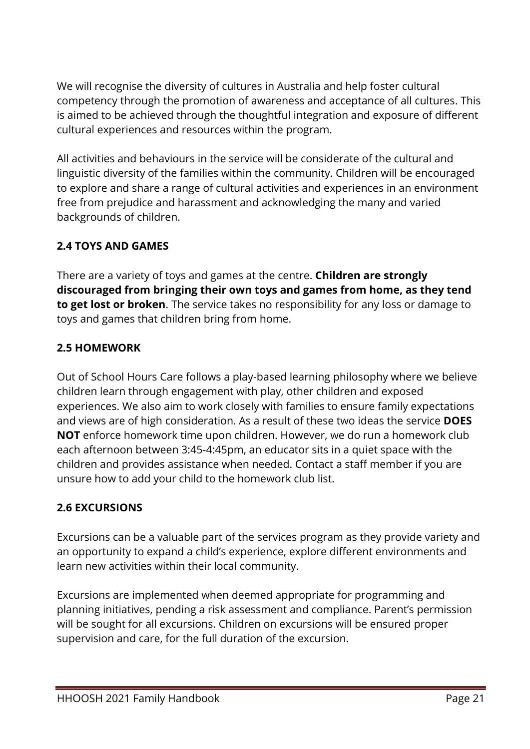We will recognise the diversity of cultures in Australia and help foster cultural competency through the promotion of awareness and acceptance of all cultures. This is aimed to be achieved through the thoughtful integration and exposure of different cultural experiences and resources within the program.

All activities and behaviours in the service will be considerate of the cultural and linguistic diversity of the families within the community. Children will be encouraged to explore and share a range of cultural activities and experiences in an environment free from prejudice and harassment and acknowledging the many and varied backgrounds of children.

#### **2.4 TOYS AND GAMES**

There are a variety of toys and games at the centre. **Children are strongly discouraged from bringing their own toys and games from home, as they tend to get lost or broken**. The service takes no responsibility for any loss or damage to toys and games that children bring from home.

#### **2.5 HOMEWORK**

Out of School Hours Care follows a play-based learning philosophy where we believe children learn through engagement with play, other children and exposed experiences. We also aim to work closely with families to ensure family expectations and views are of high consideration. As a result of these two ideas the service **DOES NOT** enforce homework time upon children. However, we do run a homework club each afternoon between 3:45-4:45pm, an educator sits in a quiet space with the children and provides assistance when needed. Contact a staff member if you are unsure how to add your child to the homework club list.

#### **2.6 EXCURSIONS**

Excursions can be a valuable part of the services program as they provide variety and an opportunity to expand a child's experience, explore different environments and learn new activities within their local community.

Excursions are implemented when deemed appropriate for programming and planning initiatives, pending a risk assessment and compliance. Parent's permission will be sought for all excursions. Children on excursions will be ensured proper supervision and care, for the full duration of the excursion.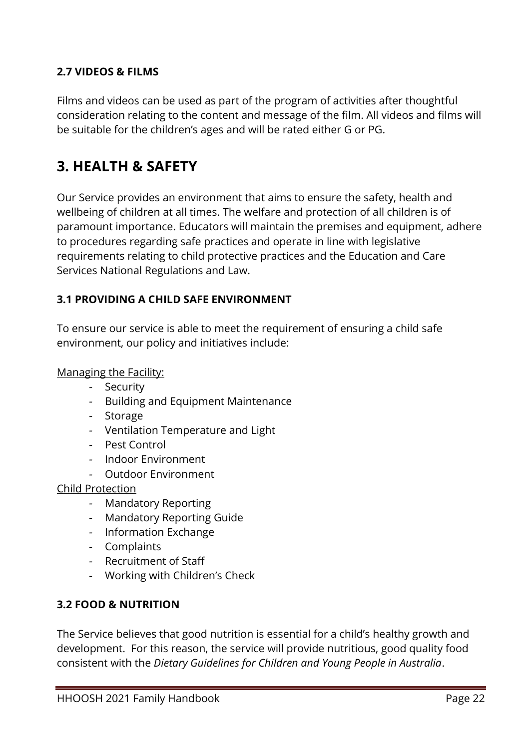#### **2.7 VIDEOS & FILMS**

Films and videos can be used as part of the program of activities after thoughtful consideration relating to the content and message of the film. All videos and films will be suitable for the children's ages and will be rated either G or PG.

# **3. HEALTH & SAFETY**

Our Service provides an environment that aims to ensure the safety, health and wellbeing of children at all times. The welfare and protection of all children is of paramount importance. Educators will maintain the premises and equipment, adhere to procedures regarding safe practices and operate in line with legislative requirements relating to child protective practices and the Education and Care Services National Regulations and Law.

#### **3.1 PROVIDING A CHILD SAFE ENVIRONMENT**

To ensure our service is able to meet the requirement of ensuring a child safe environment, our policy and initiatives include:

Managing the Facility:

- *-* Security
- *-* Building and Equipment Maintenance
- *-* Storage
- *-* Ventilation Temperature and Light
- *-* Pest Control
- *-* Indoor Environment
- *-* Outdoor Environment

Child Protection

- *-* Mandatory Reporting
- *-* Mandatory Reporting Guide
- *-* Information Exchange
- *-* Complaints
- *-* Recruitment of Staff
- *-* Working with Children's Check

#### **3.2 FOOD & NUTRITION**

The Service believes that good nutrition is essential for a child's healthy growth and development. For this reason, the service will provide nutritious, good quality food consistent with the *Dietary Guidelines for Children and Young People in Australia*.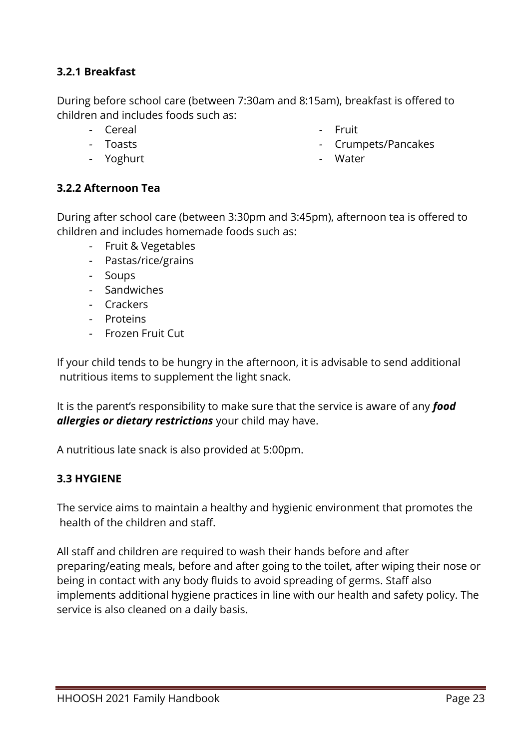#### **3.2.1 Breakfast**

During before school care (between 7:30am and 8:15am), breakfast is offered to children and includes foods such as:

*-* Cereal *-* Toasts

- *-* Fruit
- *-* Crumpets/Pancakes

*-* Yoghurt

*-* Water

#### **3.2.2 Afternoon Tea**

During after school care (between 3:30pm and 3:45pm), afternoon tea is offered to children and includes homemade foods such as:

- *-* Fruit & Vegetables
- *-* Pastas/rice/grains
- *-* Soups
- *-* Sandwiches
- *-* Crackers
- *-* Proteins
- *-* Frozen Fruit Cut

If your child tends to be hungry in the afternoon, it is advisable to send additional nutritious items to supplement the light snack.

It is the parent's responsibility to make sure that the service is aware of any *food allergies or dietary restrictions* your child may have.

A nutritious late snack is also provided at 5:00pm.

#### **3.3 HYGIENE**

The service aims to maintain a healthy and hygienic environment that promotes the health of the children and staff.

All staff and children are required to wash their hands before and after preparing/eating meals, before and after going to the toilet, after wiping their nose or being in contact with any body fluids to avoid spreading of germs. Staff also implements additional hygiene practices in line with our health and safety policy. The service is also cleaned on a daily basis.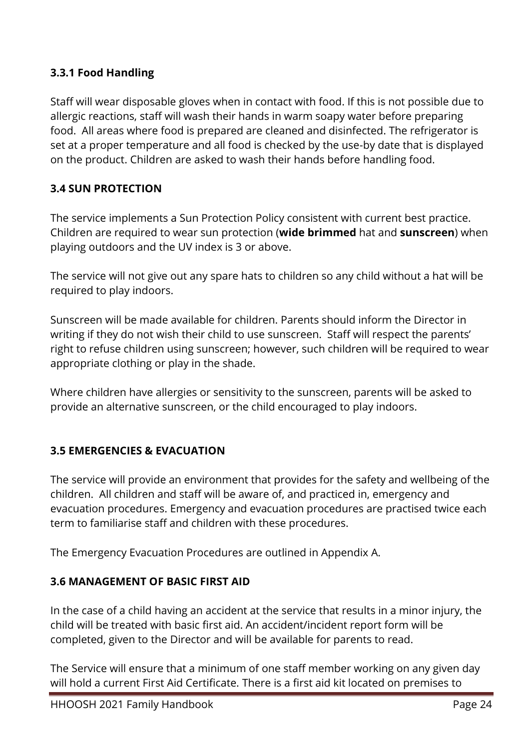#### **3.3.1 Food Handling**

Staff will wear disposable gloves when in contact with food. If this is not possible due to allergic reactions, staff will wash their hands in warm soapy water before preparing food. All areas where food is prepared are cleaned and disinfected. The refrigerator is set at a proper temperature and all food is checked by the use-by date that is displayed on the product. Children are asked to wash their hands before handling food.

#### **3.4 SUN PROTECTION**

The service implements a Sun Protection Policy consistent with current best practice. Children are required to wear sun protection (**wide brimmed** hat and **sunscreen**) when playing outdoors and the UV index is 3 or above.

The service will not give out any spare hats to children so any child without a hat will be required to play indoors.

Sunscreen will be made available for children. Parents should inform the Director in writing if they do not wish their child to use sunscreen. Staff will respect the parents' right to refuse children using sunscreen; however, such children will be required to wear appropriate clothing or play in the shade.

Where children have allergies or sensitivity to the sunscreen, parents will be asked to provide an alternative sunscreen, or the child encouraged to play indoors.

#### **3.5 EMERGENCIES & EVACUATION**

The service will provide an environment that provides for the safety and wellbeing of the children. All children and staff will be aware of, and practiced in, emergency and evacuation procedures. Emergency and evacuation procedures are practised twice each term to familiarise staff and children with these procedures.

The Emergency Evacuation Procedures are outlined in Appendix A.

#### **3.6 MANAGEMENT OF BASIC FIRST AID**

In the case of a child having an accident at the service that results in a minor injury, the child will be treated with basic first aid. An accident/incident report form will be completed, given to the Director and will be available for parents to read.

The Service will ensure that a minimum of one staff member working on any given day will hold a current First Aid Certificate. There is a first aid kit located on premises to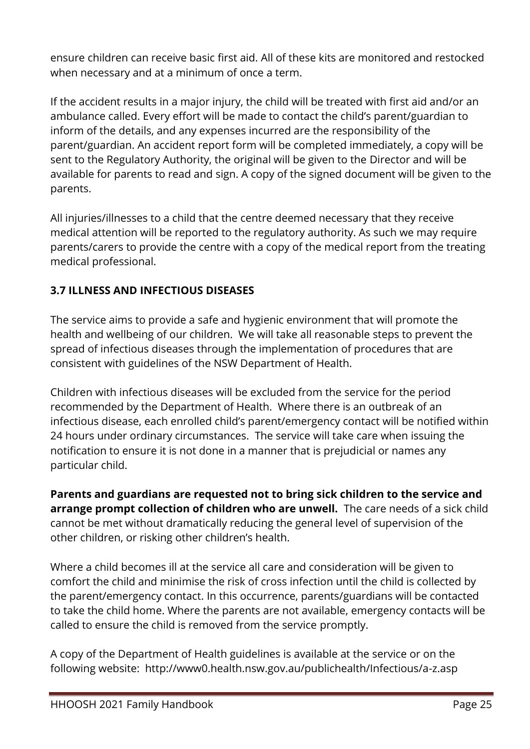ensure children can receive basic first aid. All of these kits are monitored and restocked when necessary and at a minimum of once a term.

If the accident results in a major injury, the child will be treated with first aid and/or an ambulance called. Every effort will be made to contact the child's parent/guardian to inform of the details, and any expenses incurred are the responsibility of the parent/guardian. An accident report form will be completed immediately, a copy will be sent to the Regulatory Authority, the original will be given to the Director and will be available for parents to read and sign. A copy of the signed document will be given to the parents.

All injuries/illnesses to a child that the centre deemed necessary that they receive medical attention will be reported to the regulatory authority. As such we may require parents/carers to provide the centre with a copy of the medical report from the treating medical professional.

#### **3.7 ILLNESS AND INFECTIOUS DISEASES**

The service aims to provide a safe and hygienic environment that will promote the health and wellbeing of our children. We will take all reasonable steps to prevent the spread of infectious diseases through the implementation of procedures that are consistent with guidelines of the NSW Department of Health.

Children with infectious diseases will be excluded from the service for the period recommended by the Department of Health. Where there is an outbreak of an infectious disease, each enrolled child's parent/emergency contact will be notified within 24 hours under ordinary circumstances. The service will take care when issuing the notification to ensure it is not done in a manner that is prejudicial or names any particular child.

**Parents and guardians are requested not to bring sick children to the service and arrange prompt collection of children who are unwell.** The care needs of a sick child cannot be met without dramatically reducing the general level of supervision of the other children, or risking other children's health.

Where a child becomes ill at the service all care and consideration will be given to comfort the child and minimise the risk of cross infection until the child is collected by the parent/emergency contact. In this occurrence, parents/guardians will be contacted to take the child home. Where the parents are not available, emergency contacts will be called to ensure the child is removed from the service promptly.

A copy of the Department of Health guidelines is available at the service or on the following website: http://www0.health.nsw.gov.au/publichealth/Infectious/a-z.asp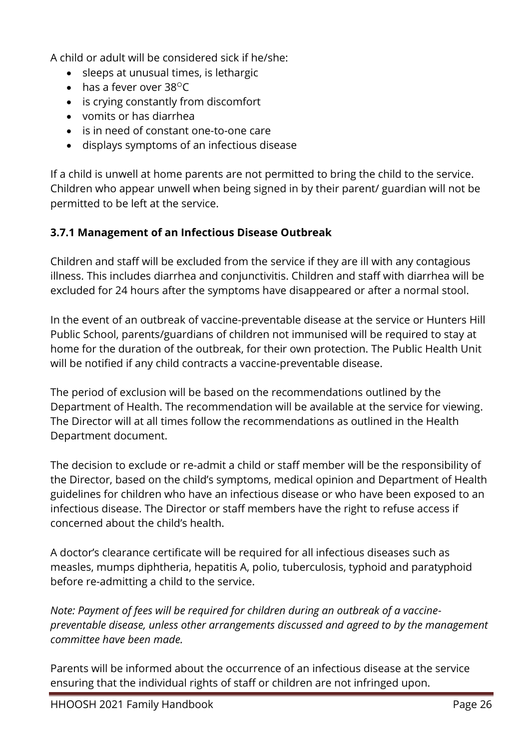A child or adult will be considered sick if he/she:

- sleeps at unusual times, is lethargic
- $\bullet$  has a fever over 38 $^{\circ}$ C
- is crying constantly from discomfort
- vomits or has diarrhea
- is in need of constant one-to-one care
- displays symptoms of an infectious disease

If a child is unwell at home parents are not permitted to bring the child to the service. Children who appear unwell when being signed in by their parent/ guardian will not be permitted to be left at the service.

#### **3.7.1 Management of an Infectious Disease Outbreak**

Children and staff will be excluded from the service if they are ill with any contagious illness. This includes diarrhea and conjunctivitis. Children and staff with diarrhea will be excluded for 24 hours after the symptoms have disappeared or after a normal stool.

In the event of an outbreak of vaccine-preventable disease at the service or Hunters Hill Public School, parents/guardians of children not immunised will be required to stay at home for the duration of the outbreak, for their own protection. The Public Health Unit will be notified if any child contracts a vaccine-preventable disease.

The period of exclusion will be based on the recommendations outlined by the Department of Health. The recommendation will be available at the service for viewing. The Director will at all times follow the recommendations as outlined in the Health Department document.

The decision to exclude or re-admit a child or staff member will be the responsibility of the Director, based on the child's symptoms, medical opinion and Department of Health guidelines for children who have an infectious disease or who have been exposed to an infectious disease. The Director or staff members have the right to refuse access if concerned about the child's health.

A doctor's clearance certificate will be required for all infectious diseases such as measles, mumps diphtheria, hepatitis A, polio, tuberculosis, typhoid and paratyphoid before re-admitting a child to the service.

*Note: Payment of fees will be required for children during an outbreak of a vaccinepreventable disease, unless other arrangements discussed and agreed to by the management committee have been made.*

Parents will be informed about the occurrence of an infectious disease at the service ensuring that the individual rights of staff or children are not infringed upon.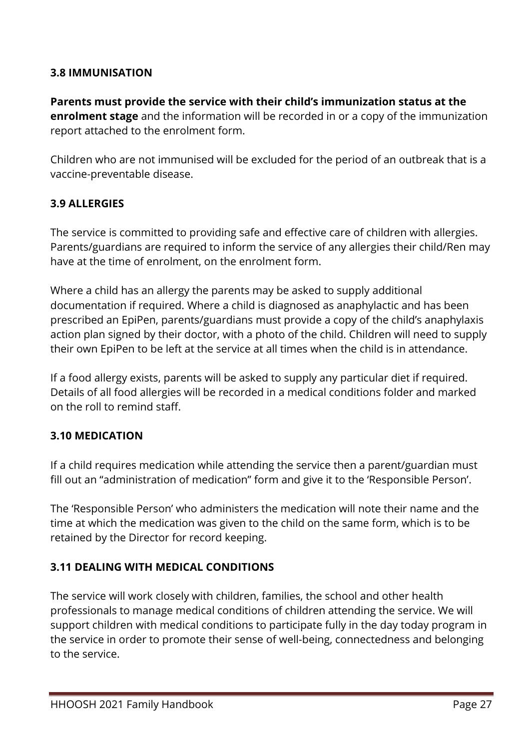#### **3.8 IMMUNISATION**

**Parents must provide the service with their child's immunization status at the enrolment stage** and the information will be recorded in or a copy of the immunization report attached to the enrolment form.

Children who are not immunised will be excluded for the period of an outbreak that is a vaccine-preventable disease.

#### **3.9 ALLERGIES**

The service is committed to providing safe and effective care of children with allergies. Parents/guardians are required to inform the service of any allergies their child/Ren may have at the time of enrolment, on the enrolment form.

Where a child has an allergy the parents may be asked to supply additional documentation if required. Where a child is diagnosed as anaphylactic and has been prescribed an EpiPen, parents/guardians must provide a copy of the child's anaphylaxis action plan signed by their doctor, with a photo of the child. Children will need to supply their own EpiPen to be left at the service at all times when the child is in attendance.

If a food allergy exists, parents will be asked to supply any particular diet if required. Details of all food allergies will be recorded in a medical conditions folder and marked on the roll to remind staff.

#### **3.10 MEDICATION**

If a child requires medication while attending the service then a parent/guardian must fill out an "administration of medication" form and give it to the 'Responsible Person'.

The 'Responsible Person' who administers the medication will note their name and the time at which the medication was given to the child on the same form, which is to be retained by the Director for record keeping.

#### **3.11 DEALING WITH MEDICAL CONDITIONS**

The service will work closely with children, families, the school and other health professionals to manage medical conditions of children attending the service. We will support children with medical conditions to participate fully in the day today program in the service in order to promote their sense of well-being, connectedness and belonging to the service.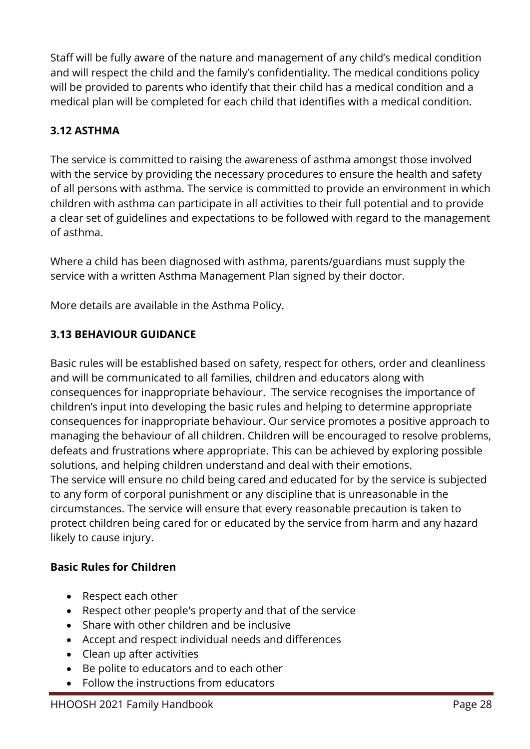Staff will be fully aware of the nature and management of any child's medical condition and will respect the child and the family's confidentiality. The medical conditions policy will be provided to parents who identify that their child has a medical condition and a medical plan will be completed for each child that identifies with a medical condition.

#### **3.12 ASTHMA**

The service is committed to raising the awareness of asthma amongst those involved with the service by providing the necessary procedures to ensure the health and safety of all persons with asthma. The service is committed to provide an environment in which children with asthma can participate in all activities to their full potential and to provide a clear set of guidelines and expectations to be followed with regard to the management of asthma.

Where a child has been diagnosed with asthma, parents/guardians must supply the service with a written Asthma Management Plan signed by their doctor.

More details are available in the Asthma Policy.

#### **3.13 BEHAVIOUR GUIDANCE**

Basic rules will be established based on safety, respect for others, order and cleanliness and will be communicated to all families, children and educators along with consequences for inappropriate behaviour. The service recognises the importance of children's input into developing the basic rules and helping to determine appropriate consequences for inappropriate behaviour. Our service promotes a positive approach to managing the behaviour of all children. Children will be encouraged to resolve problems, defeats and frustrations where appropriate. This can be achieved by exploring possible solutions, and helping children understand and deal with their emotions. The service will ensure no child being cared and educated for by the service is subjected to any form of corporal punishment or any discipline that is unreasonable in the circumstances. The service will ensure that every reasonable precaution is taken to protect children being cared for or educated by the service from harm and any hazard likely to cause injury.

#### **Basic Rules for Children**

- Respect each other
- Respect other people's property and that of the service
- Share with other children and be inclusive
- Accept and respect individual needs and differences
- Clean up after activities
- Be polite to educators and to each other
- Follow the instructions from educators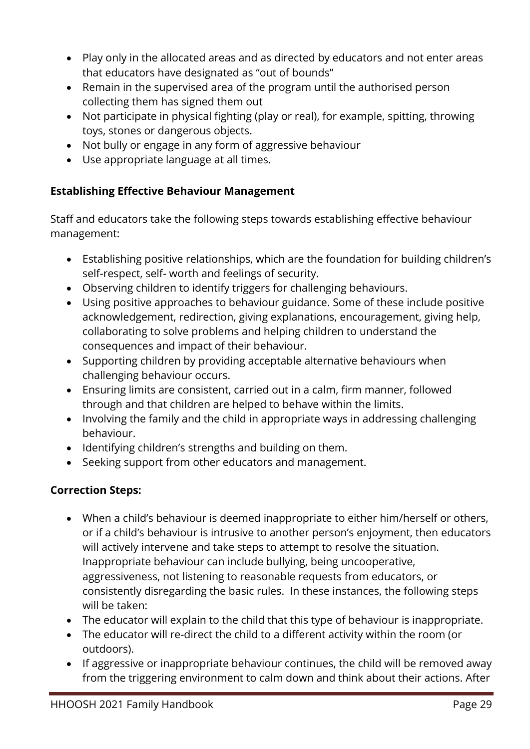- Play only in the allocated areas and as directed by educators and not enter areas that educators have designated as "out of bounds"
- Remain in the supervised area of the program until the authorised person collecting them has signed them out
- Not participate in physical fighting (play or real), for example, spitting, throwing toys, stones or dangerous objects.
- Not bully or engage in any form of aggressive behaviour
- Use appropriate language at all times.

#### **Establishing Effective Behaviour Management**

Staff and educators take the following steps towards establishing effective behaviour management:

- Establishing positive relationships, which are the foundation for building children's self-respect, self- worth and feelings of security.
- Observing children to identify triggers for challenging behaviours.
- Using positive approaches to behaviour guidance. Some of these include positive acknowledgement, redirection, giving explanations, encouragement, giving help, collaborating to solve problems and helping children to understand the consequences and impact of their behaviour.
- Supporting children by providing acceptable alternative behaviours when challenging behaviour occurs.
- Ensuring limits are consistent, carried out in a calm, firm manner, followed through and that children are helped to behave within the limits.
- Involving the family and the child in appropriate ways in addressing challenging behaviour.
- Identifying children's strengths and building on them.
- Seeking support from other educators and management.

#### **Correction Steps:**

- When a child's behaviour is deemed inappropriate to either him/herself or others, or if a child's behaviour is intrusive to another person's enjoyment, then educators will actively intervene and take steps to attempt to resolve the situation. Inappropriate behaviour can include bullying, being uncooperative, aggressiveness, not listening to reasonable requests from educators, or consistently disregarding the basic rules. In these instances, the following steps will be taken:
- The educator will explain to the child that this type of behaviour is inappropriate.
- The educator will re-direct the child to a different activity within the room (or outdoors).
- If aggressive or inappropriate behaviour continues, the child will be removed away from the triggering environment to calm down and think about their actions. After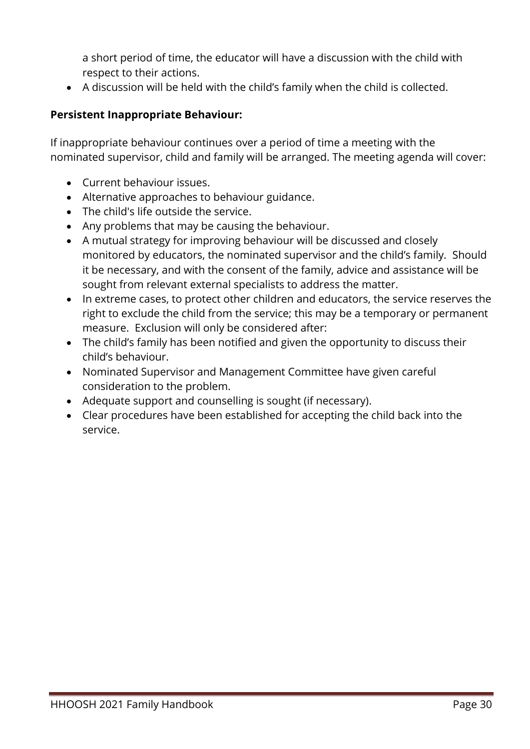a short period of time, the educator will have a discussion with the child with respect to their actions.

• A discussion will be held with the child's family when the child is collected.

#### **Persistent Inappropriate Behaviour:**

If inappropriate behaviour continues over a period of time a meeting with the nominated supervisor, child and family will be arranged. The meeting agenda will cover:

- Current behaviour issues.
- Alternative approaches to behaviour guidance.
- The child's life outside the service.
- Any problems that may be causing the behaviour.
- A mutual strategy for improving behaviour will be discussed and closely monitored by educators, the nominated supervisor and the child's family. Should it be necessary, and with the consent of the family, advice and assistance will be sought from relevant external specialists to address the matter.
- In extreme cases, to protect other children and educators, the service reserves the right to exclude the child from the service; this may be a temporary or permanent measure. Exclusion will only be considered after:
- The child's family has been notified and given the opportunity to discuss their child's behaviour.
- Nominated Supervisor and Management Committee have given careful consideration to the problem.
- Adequate support and counselling is sought (if necessary).
- Clear procedures have been established for accepting the child back into the service.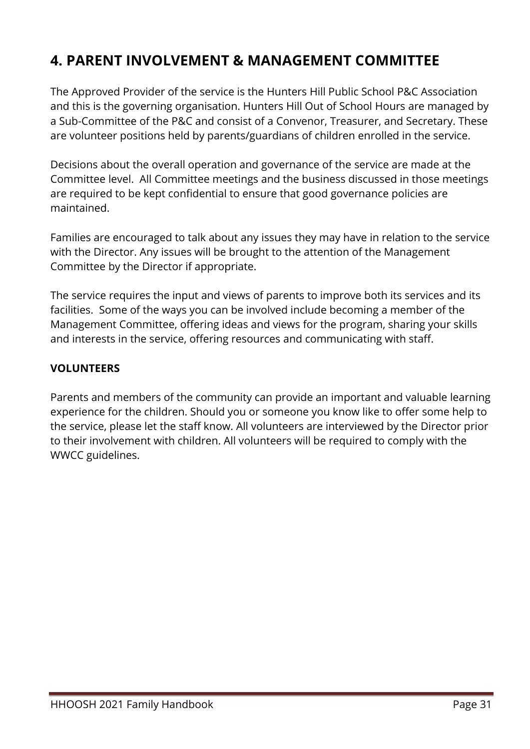# **4. PARENT INVOLVEMENT & MANAGEMENT COMMITTEE**

The Approved Provider of the service is the Hunters Hill Public School P&C Association and this is the governing organisation. Hunters Hill Out of School Hours are managed by a Sub-Committee of the P&C and consist of a Convenor, Treasurer, and Secretary. These are volunteer positions held by parents/guardians of children enrolled in the service.

Decisions about the overall operation and governance of the service are made at the Committee level. All Committee meetings and the business discussed in those meetings are required to be kept confidential to ensure that good governance policies are maintained.

Families are encouraged to talk about any issues they may have in relation to the service with the Director. Any issues will be brought to the attention of the Management Committee by the Director if appropriate.

The service requires the input and views of parents to improve both its services and its facilities. Some of the ways you can be involved include becoming a member of the Management Committee, offering ideas and views for the program, sharing your skills and interests in the service, offering resources and communicating with staff.

#### **VOLUNTEERS**

Parents and members of the community can provide an important and valuable learning experience for the children. Should you or someone you know like to offer some help to the service, please let the staff know. All volunteers are interviewed by the Director prior to their involvement with children. All volunteers will be required to comply with the WWCC guidelines.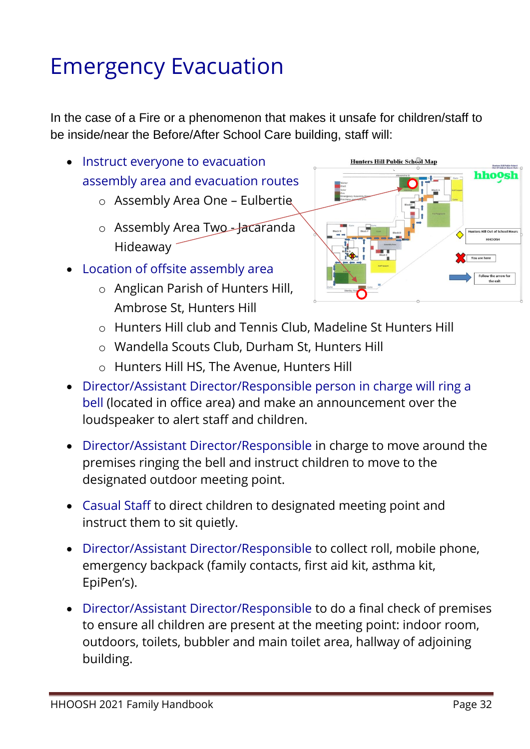# Emergency Evacuation

In the case of a Fire or a phenomenon that makes it unsafe for children/staff to be inside/near the Before/After School Care building, staff will:

- Instruct everyone to evacuation assembly area and evacuation routes
	- o Assembly Area One Eulbertie
	- o Assembly Area Two-Jacaranda Hideaway
- Location of offsite assembly area
	- o Anglican Parish of Hunters Hill, Ambrose St, Hunters Hill



- o Hunters Hill club and Tennis Club, Madeline St Hunters Hill
- o Wandella Scouts Club, Durham St, Hunters Hill
- o Hunters Hill HS, The Avenue, Hunters Hill
- Director/Assistant Director/Responsible person in charge will ring a bell (located in office area) and make an announcement over the loudspeaker to alert staff and children.
- Director/Assistant Director/Responsible in charge to move around the premises ringing the bell and instruct children to move to the designated outdoor meeting point.
- Casual Staff to direct children to designated meeting point and instruct them to sit quietly.
- Director/Assistant Director/Responsible to collect roll, mobile phone, emergency backpack (family contacts, first aid kit, asthma kit, EpiPen's).
- Director/Assistant Director/Responsible to do a final check of premises to ensure all children are present at the meeting point: indoor room, outdoors, toilets, bubbler and main toilet area, hallway of adjoining building.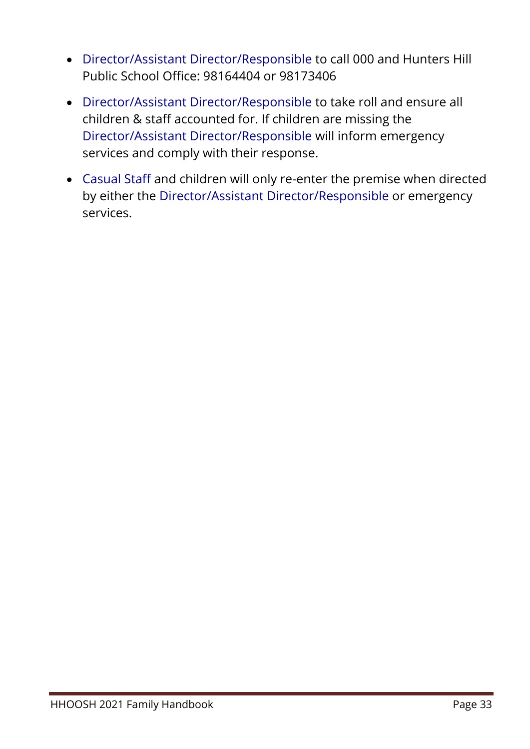- Director/Assistant Director/Responsible to call 000 and Hunters Hill Public School Office: 98164404 or 98173406
- Director/Assistant Director/Responsible to take roll and ensure all children & staff accounted for. If children are missing the Director/Assistant Director/Responsible will inform emergency services and comply with their response.
- Casual Staff and children will only re-enter the premise when directed by either the Director/Assistant Director/Responsible or emergency services.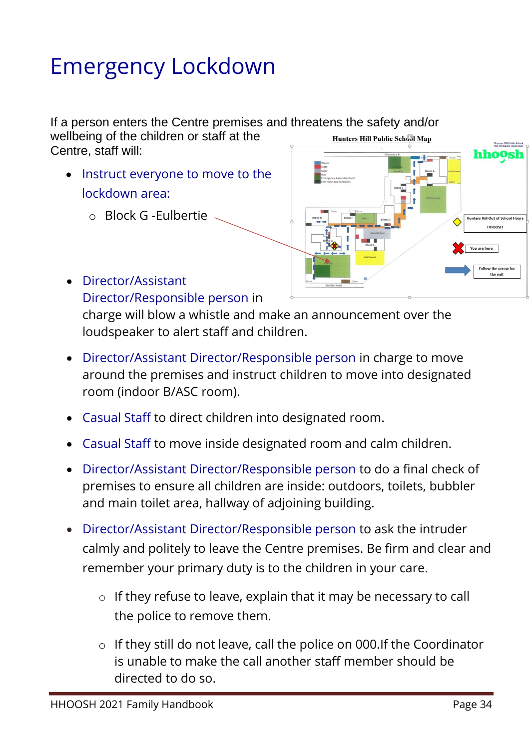# Emergency Lockdown

If a person enters the Centre premises and threatens the safety and/or wellbeing of the children or staff at the Hunters Hill Public School Map Centre, staff will:

- Instruct everyone to move to the lockdown area:
	- o Block G -Eulbertie



• Director/Assistant Director/Responsible person in

charge will blow a whistle and make an announcement over the loudspeaker to alert staff and children.

- Director/Assistant Director/Responsible person in charge to move around the premises and instruct children to move into designated room (indoor B/ASC room).
- Casual Staff to direct children into designated room.
- Casual Staff to move inside designated room and calm children.
- Director/Assistant Director/Responsible person to do a final check of premises to ensure all children are inside: outdoors, toilets, bubbler and main toilet area, hallway of adjoining building.
- Director/Assistant Director/Responsible person to ask the intruder calmly and politely to leave the Centre premises. Be firm and clear and remember your primary duty is to the children in your care.
	- o If they refuse to leave, explain that it may be necessary to call the police to remove them.
	- o If they still do not leave, call the police on 000.If the Coordinator is unable to make the call another staff member should be directed to do so.